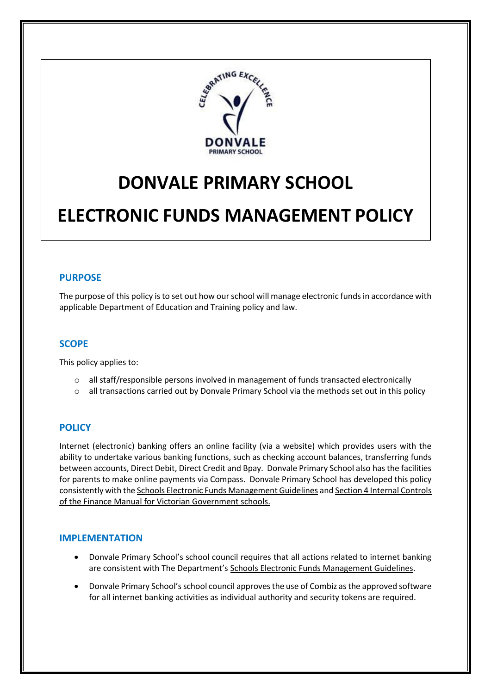

# **DONVALE PRIMARY SCHOOL**

## **ELECTRONIC FUNDS MANAGEMENT POLICY**

#### **PURPOSE**

The purpose of this policy is to set out how our school will manage electronic funds in accordance with applicable Department of Education and Training policy and law.

#### **SCOPE**

This policy applies to:

- o all staff/responsible persons involved in management of funds transacted electronically
- o all transactions carried out by Donvale Primary School via the methods set out in this policy

## **POLICY**

Internet (electronic) banking offers an online facility (via a website) which provides users with the ability to undertake various banking functions, such as checking account balances, transferring funds between accounts, Direct Debit, Direct Credit and Bpay. Donvale Primary School also has the facilities for parents to make online payments via Compass. Donvale Primary School has developed this policy consistently with th[e Schools Electronic Funds Management Guidelines](http://www.education.vic.gov.au/Documents/school/principals/finance/Fin%20Schools%20Electronic%20Funds%20Management%20Guidelines%20V1_2.pdf) an[d Section 4 Internal Controls](http://www.education.vic.gov.au/Documents/school/teachers/management/fmvgssection4.pdf) of the Finance Manual for Victorian Government schools.

#### **IMPLEMENTATION**

- Donvale Primary School's school council requires that all actions related to internet banking are consistent with The Department's [Schools Electronic Funds Management Guidelines.](http://www.education.vic.gov.au/Documents/school/principals/finance/Fin%20Schools%20Electronic%20Funds%20Management%20Guidelines%20V1_2.pdf)
- Donvale Primary School'sschool council approves the use of Combiz as the approved software for all internet banking activities as individual authority and security tokens are required.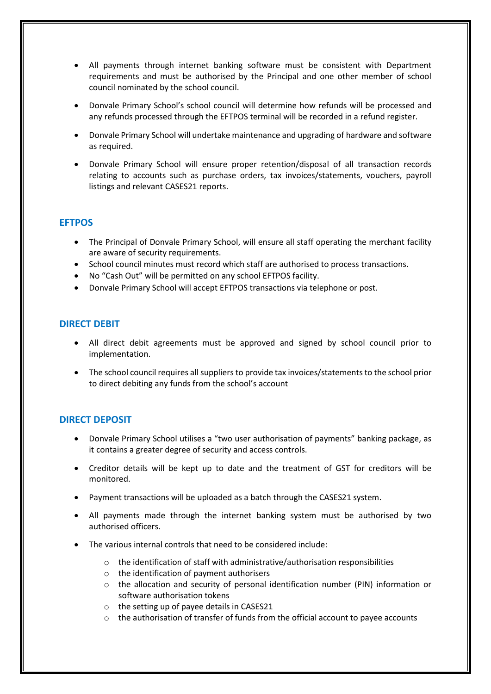- All payments through internet banking software must be consistent with Department requirements and must be authorised by the Principal and one other member of school council nominated by the school council.
- Donvale Primary School's school council will determine how refunds will be processed and any refunds processed through the EFTPOS terminal will be recorded in a refund register.
- Donvale Primary School will undertake maintenance and upgrading of hardware and software as required.
- Donvale Primary School will ensure proper retention/disposal of all transaction records relating to accounts such as purchase orders, tax invoices/statements, vouchers, payroll listings and relevant CASES21 reports.

## **EFTPOS**

- The Principal of Donvale Primary School, will ensure all staff operating the merchant facility are aware of security requirements.
- School council minutes must record which staff are authorised to process transactions.
- No "Cash Out" will be permitted on any school EFTPOS facility.
- Donvale Primary School will accept EFTPOS transactions via telephone or post.

## **DIRECT DEBIT**

- All direct debit agreements must be approved and signed by school council prior to implementation.
- The school council requires all suppliers to provide tax invoices/statements to the school prior to direct debiting any funds from the school's account

## **DIRECT DEPOSIT**

- Donvale Primary School utilises a "two user authorisation of payments" banking package, as it contains a greater degree of security and access controls.
- Creditor details will be kept up to date and the treatment of GST for creditors will be monitored.
- Payment transactions will be uploaded as a batch through the CASES21 system.
- All payments made through the internet banking system must be authorised by two authorised officers.
- The various internal controls that need to be considered include:
	- o the identification of staff with administrative/authorisation responsibilities
	- o the identification of payment authorisers
	- o the allocation and security of personal identification number (PIN) information or software authorisation tokens
	- o the setting up of payee details in CASES21
	- $\circ$  the authorisation of transfer of funds from the official account to payee accounts